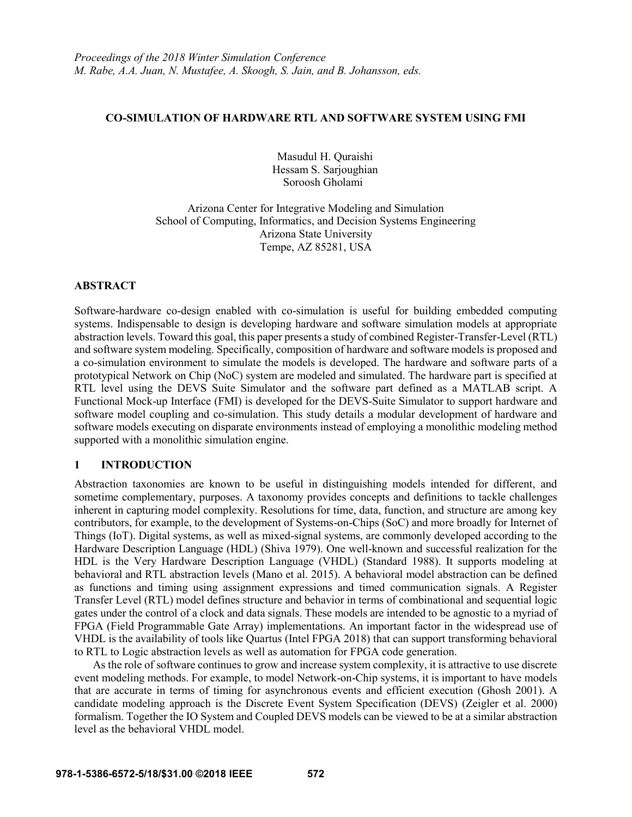### **CO-SIMULATION OF HARDWARE RTL AND SOFTWARE SYSTEM USING FMI**

Masudul H. Quraishi Hessam S. Sarjoughian Soroosh Gholami

Arizona Center for Integrative Modeling and Simulation School of Computing, Informatics, and Decision Systems Engineering Arizona State University Tempe, AZ 85281, USA

### **ABSTRACT**

Software-hardware co-design enabled with co-simulation is useful for building embedded computing systems. Indispensable to design is developing hardware and software simulation models at appropriate abstraction levels. Toward this goal, this paper presents a study of combined Register-Transfer-Level (RTL) and software system modeling. Specifically, composition of hardware and software models is proposed and a co-simulation environment to simulate the models is developed. The hardware and software parts of a prototypical Network on Chip (NoC) system are modeled and simulated. The hardware part is specified at RTL level using the DEVS Suite Simulator and the software part defined as a MATLAB script. A Functional Mock-up Interface (FMI) is developed for the DEVS-Suite Simulator to support hardware and software model coupling and co-simulation. This study details a modular development of hardware and software models executing on disparate environments instead of employing a monolithic modeling method supported with a monolithic simulation engine.

## **1 INTRODUCTION**

Abstraction taxonomies are known to be useful in distinguishing models intended for different, and sometime complementary, purposes. A taxonomy provides concepts and definitions to tackle challenges inherent in capturing model complexity. Resolutions for time, data, function, and structure are among key contributors, for example, to the development of Systems-on-Chips (SoC) and more broadly for Internet of Things (IoT). Digital systems, as well as mixed-signal systems, are commonly developed according to the Hardware Description Language (HDL) (Shiva 1979). One well-known and successful realization for the HDL is the Very Hardware Description Language (VHDL) (Standard 1988). It supports modeling at behavioral and RTL abstraction levels (Mano et al. 2015). A behavioral model abstraction can be defined as functions and timing using assignment expressions and timed communication signals. A Register Transfer Level (RTL) model defines structure and behavior in terms of combinational and sequential logic gates under the control of a clock and data signals. These models are intended to be agnostic to a myriad of FPGA (Field Programmable Gate Array) implementations. An important factor in the widespread use of VHDL is the availability of tools like Quartus (Intel FPGA 2018) that can support transforming behavioral to RTL to Logic abstraction levels as well as automation for FPGA code generation.

As the role of software continues to grow and increase system complexity, it is attractive to use discrete event modeling methods. For example, to model Network-on-Chip systems, it is important to have models that are accurate in terms of timing for asynchronous events and efficient execution (Ghosh 2001). A candidate modeling approach is the Discrete Event System Specification (DEVS) (Zeigler et al. 2000) formalism. Together the IO System and Coupled DEVS models can be viewed to be at a similar abstraction level as the behavioral VHDL model.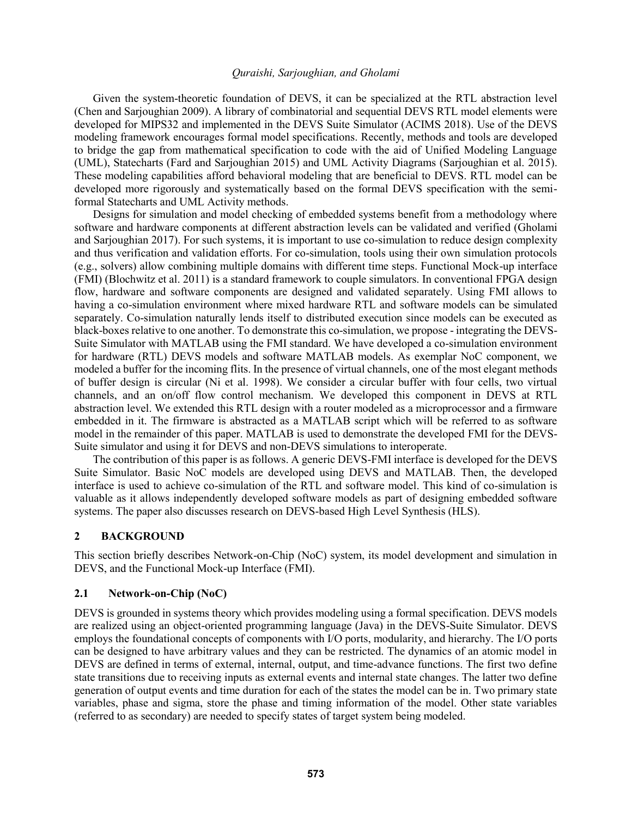Given the system-theoretic foundation of DEVS, it can be specialized at the RTL abstraction level (Chen and Sarjoughian 2009). A library of combinatorial and sequential DEVS RTL model elements were developed for MIPS32 and implemented in the DEVS Suite Simulator (ACIMS 2018). Use of the DEVS modeling framework encourages formal model specifications. Recently, methods and tools are developed to bridge the gap from mathematical specification to code with the aid of Unified Modeling Language (UML), Statecharts (Fard and Sarjoughian 2015) and UML Activity Diagrams (Sarjoughian et al. 2015). These modeling capabilities afford behavioral modeling that are beneficial to DEVS. RTL model can be developed more rigorously and systematically based on the formal DEVS specification with the semiformal Statecharts and UML Activity methods.

Designs for simulation and model checking of embedded systems benefit from a methodology where software and hardware components at different abstraction levels can be validated and verified (Gholami and Sarjoughian 2017). For such systems, it is important to use co-simulation to reduce design complexity and thus verification and validation efforts. For co-simulation, tools using their own simulation protocols (e.g., solvers) allow combining multiple domains with different time steps. Functional Mock-up interface (FMI) (Blochwitz et al. 2011) is a standard framework to couple simulators. In conventional FPGA design flow, hardware and software components are designed and validated separately. Using FMI allows to having a co-simulation environment where mixed hardware RTL and software models can be simulated separately. Co-simulation naturally lends itself to distributed execution since models can be executed as black-boxes relative to one another. To demonstrate this co-simulation, we propose - integrating the DEVS-Suite Simulator with MATLAB using the FMI standard. We have developed a co-simulation environment for hardware (RTL) DEVS models and software MATLAB models. As exemplar NoC component, we modeled a buffer for the incoming flits. In the presence of virtual channels, one of the most elegant methods of buffer design is circular (Ni et al. 1998). We consider a circular buffer with four cells, two virtual channels, and an on/off flow control mechanism. We developed this component in DEVS at RTL abstraction level. We extended this RTL design with a router modeled as a microprocessor and a firmware embedded in it. The firmware is abstracted as a MATLAB script which will be referred to as software model in the remainder of this paper. MATLAB is used to demonstrate the developed FMI for the DEVS-Suite simulator and using it for DEVS and non-DEVS simulations to interoperate.

The contribution of this paper is as follows. A generic DEVS-FMI interface is developed for the DEVS Suite Simulator. Basic NoC models are developed using DEVS and MATLAB. Then, the developed interface is used to achieve co-simulation of the RTL and software model. This kind of co-simulation is valuable as it allows independently developed software models as part of designing embedded software systems. The paper also discusses research on DEVS-based High Level Synthesis (HLS).

## **2 BACKGROUND**

This section briefly describes Network-on-Chip (NoC) system, its model development and simulation in DEVS, and the Functional Mock-up Interface (FMI).

## **2.1 Network-on-Chip (NoC)**

DEVS is grounded in systems theory which provides modeling using a formal specification. DEVS models are realized using an object-oriented programming language (Java) in the DEVS-Suite Simulator. DEVS employs the foundational concepts of components with I/O ports, modularity, and hierarchy. The I/O ports can be designed to have arbitrary values and they can be restricted. The dynamics of an atomic model in DEVS are defined in terms of external, internal, output, and time-advance functions. The first two define state transitions due to receiving inputs as external events and internal state changes. The latter two define generation of output events and time duration for each of the states the model can be in. Two primary state variables, phase and sigma, store the phase and timing information of the model. Other state variables (referred to as secondary) are needed to specify states of target system being modeled.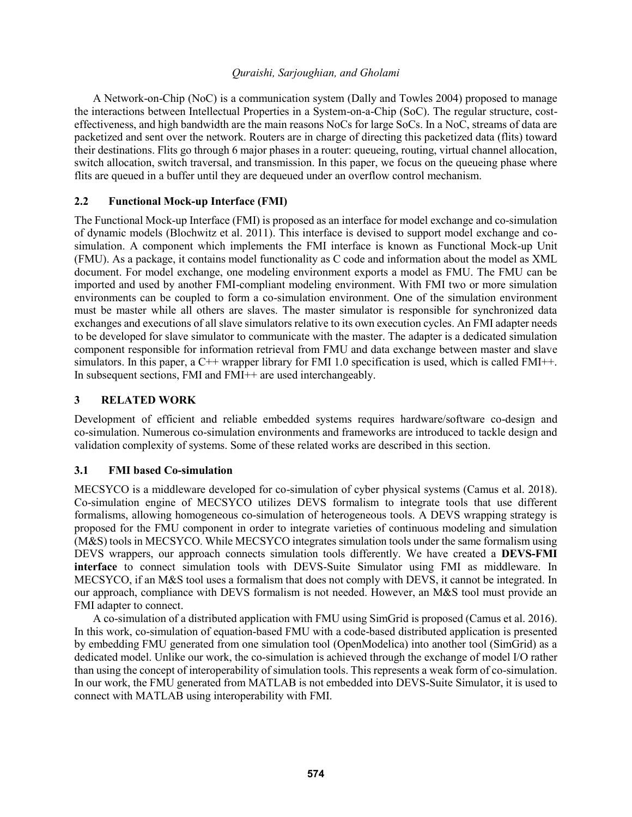A Network-on-Chip (NoC) is a communication system (Dally and Towles 2004) proposed to manage the interactions between Intellectual Properties in a System-on-a-Chip (SoC). The regular structure, costeffectiveness, and high bandwidth are the main reasons NoCs for large SoCs. In a NoC, streams of data are packetized and sent over the network. Routers are in charge of directing this packetized data (flits) toward their destinations. Flits go through 6 major phases in a router: queueing, routing, virtual channel allocation, switch allocation, switch traversal, and transmission. In this paper, we focus on the queueing phase where flits are queued in a buffer until they are dequeued under an overflow control mechanism.

# **2.2 Functional Mock-up Interface (FMI)**

The Functional Mock-up Interface (FMI) is proposed as an interface for model exchange and co-simulation of dynamic models (Blochwitz et al. 2011). This interface is devised to support model exchange and cosimulation. A component which implements the FMI interface is known as Functional Mock-up Unit (FMU). As a package, it contains model functionality as C code and information about the model as XML document. For model exchange, one modeling environment exports a model as FMU. The FMU can be imported and used by another FMI-compliant modeling environment. With FMI two or more simulation environments can be coupled to form a co-simulation environment. One of the simulation environment must be master while all others are slaves. The master simulator is responsible for synchronized data exchanges and executions of all slave simulators relative to its own execution cycles. An FMI adapter needs to be developed for slave simulator to communicate with the master. The adapter is a dedicated simulation component responsible for information retrieval from FMU and data exchange between master and slave simulators. In this paper, a  $C^{++}$  wrapper library for FMI 1.0 specification is used, which is called FMI++. In subsequent sections, FMI and FMI++ are used interchangeably.

# **3 RELATED WORK**

Development of efficient and reliable embedded systems requires hardware/software co-design and co-simulation. Numerous co-simulation environments and frameworks are introduced to tackle design and validation complexity of systems. Some of these related works are described in this section.

## **3.1 FMI based Co-simulation**

MECSYCO is a middleware developed for co-simulation of cyber physical systems (Camus et al. 2018). Co-simulation engine of MECSYCO utilizes DEVS formalism to integrate tools that use different formalisms, allowing homogeneous co-simulation of heterogeneous tools. A DEVS wrapping strategy is proposed for the FMU component in order to integrate varieties of continuous modeling and simulation (M&S) tools in MECSYCO. While MECSYCO integrates simulation tools under the same formalism using DEVS wrappers, our approach connects simulation tools differently. We have created a **DEVS-FMI interface** to connect simulation tools with DEVS-Suite Simulator using FMI as middleware. In MECSYCO, if an M&S tool uses a formalism that does not comply with DEVS, it cannot be integrated. In our approach, compliance with DEVS formalism is not needed. However, an M&S tool must provide an FMI adapter to connect.

A co-simulation of a distributed application with FMU using SimGrid is proposed (Camus et al. 2016). In this work, co-simulation of equation-based FMU with a code-based distributed application is presented by embedding FMU generated from one simulation tool (OpenModelica) into another tool (SimGrid) as a dedicated model. Unlike our work, the co-simulation is achieved through the exchange of model I/O rather than using the concept of interoperability of simulation tools. This represents a weak form of co-simulation. In our work, the FMU generated from MATLAB is not embedded into DEVS-Suite Simulator, it is used to connect with MATLAB using interoperability with FMI.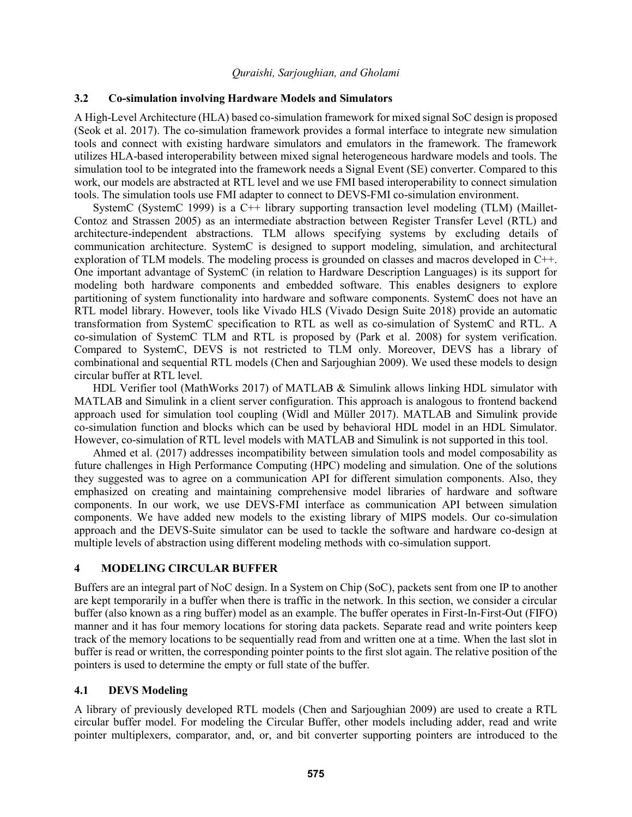#### **3.2 Co-simulation involving Hardware Models and Simulators**

A High-Level Architecture (HLA) based co-simulation framework for mixed signal SoC design is proposed (Seok et al. 2017). The co-simulation framework provides a formal interface to integrate new simulation tools and connect with existing hardware simulators and emulators in the framework. The framework utilizes HLA-based interoperability between mixed signal heterogeneous hardware models and tools. The simulation tool to be integrated into the framework needs a Signal Event (SE) converter. Compared to this work, our models are abstracted at RTL level and we use FMI based interoperability to connect simulation tools. The simulation tools use FMI adapter to connect to DEVS-FMI co-simulation environment.

SystemC (SystemC 1999) is a C++ library supporting transaction level modeling (TLM) (Maillet-Contoz and Strassen 2005) as an intermediate abstraction between Register Transfer Level (RTL) and architecture-independent abstractions. TLM allows specifying systems by excluding details of communication architecture. SystemC is designed to support modeling, simulation, and architectural exploration of TLM models. The modeling process is grounded on classes and macros developed in C++. One important advantage of SystemC (in relation to Hardware Description Languages) is its support for modeling both hardware components and embedded software. This enables designers to explore partitioning of system functionality into hardware and software components. SystemC does not have an RTL model library. However, tools like Vivado HLS (Vivado Design Suite 2018) provide an automatic transformation from SystemC specification to RTL as well as co-simulation of SystemC and RTL. A co-simulation of SystemC TLM and RTL is proposed by (Park et al. 2008) for system verification. Compared to SystemC, DEVS is not restricted to TLM only. Moreover, DEVS has a library of combinational and sequential RTL models (Chen and Sarjoughian 2009). We used these models to design circular buffer at RTL level.

HDL Verifier tool (MathWorks 2017) of MATLAB & Simulink allows linking HDL simulator with MATLAB and Simulink in a client server configuration. This approach is analogous to frontend backend approach used for simulation tool coupling (Widl and Müller 2017). MATLAB and Simulink provide co-simulation function and blocks which can be used by behavioral HDL model in an HDL Simulator. However, co-simulation of RTL level models with MATLAB and Simulink is not supported in this tool.

Ahmed et al. (2017) addresses incompatibility between simulation tools and model composability as future challenges in High Performance Computing (HPC) modeling and simulation. One of the solutions they suggested was to agree on a communication API for different simulation components. Also, they emphasized on creating and maintaining comprehensive model libraries of hardware and software components. In our work, we use DEVS-FMI interface as communication API between simulation components. We have added new models to the existing library of MIPS models. Our co-simulation approach and the DEVS-Suite simulator can be used to tackle the software and hardware co-design at multiple levels of abstraction using different modeling methods with co-simulation support.

### **4 MODELING CIRCULAR BUFFER**

Buffers are an integral part of NoC design. In a System on Chip (SoC), packets sent from one IP to another are kept temporarily in a buffer when there is traffic in the network. In this section, we consider a circular buffer (also known as a ring buffer) model as an example. The buffer operates in First-In-First-Out (FIFO) manner and it has four memory locations for storing data packets. Separate read and write pointers keep track of the memory locations to be sequentially read from and written one at a time. When the last slot in buffer is read or written, the corresponding pointer points to the first slot again. The relative position of the pointers is used to determine the empty or full state of the buffer.

#### **4.1 DEVS Modeling**

A library of previously developed RTL models (Chen and Sarjoughian 2009) are used to create a RTL circular buffer model. For modeling the Circular Buffer, other models including adder, read and write pointer multiplexers, comparator, and, or, and bit converter supporting pointers are introduced to the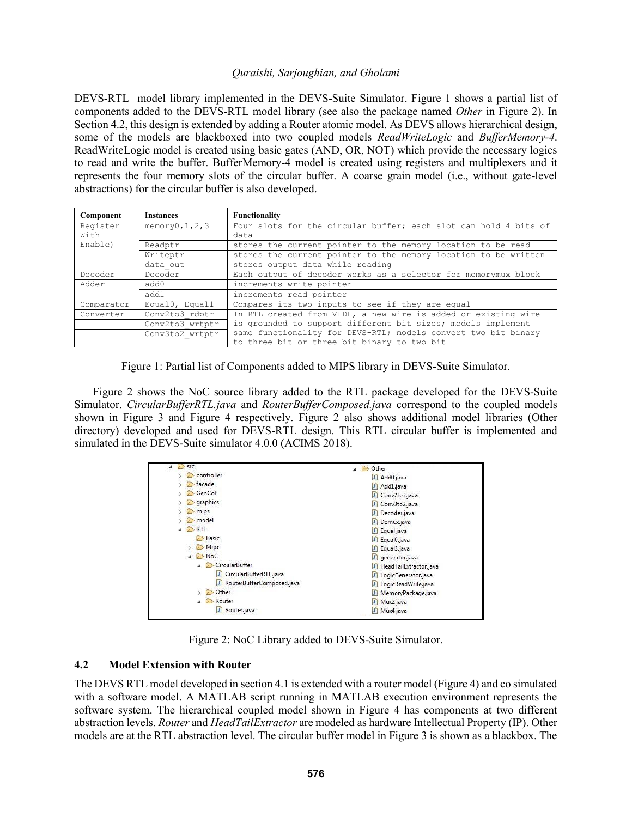DEVS-RTL model library implemented in the DEVS-Suite Simulator. Figure 1 shows a partial list of components added to the DEVS-RTL model library (see also the package named *Other* in Figure 2). In Section 4.2, this design is extended by adding a Router atomic model. As DEVS allows hierarchical design, some of the models are blackboxed into two coupled models *ReadWriteLogic* and *BufferMemory-4*. ReadWriteLogic model is created using basic gates (AND, OR, NOT) which provide the necessary logics to read and write the buffer. BufferMemory-4 model is created using registers and multiplexers and it represents the four memory slots of the circular buffer. A coarse grain model (i.e., without gate-level abstractions) for the circular buffer is also developed.

| Component  | <b>Instances</b>                 | Functionality                                                                                                 |  |  |  |  |
|------------|----------------------------------|---------------------------------------------------------------------------------------------------------------|--|--|--|--|
| Register   | memory0, 1, 2, 3                 | Four slots for the circular buffer; each slot can hold 4 bits of                                              |  |  |  |  |
| With       |                                  | data                                                                                                          |  |  |  |  |
| Enable)    | Readptr                          | stores the current pointer to the memory location to be read                                                  |  |  |  |  |
|            | Writeptr                         | stores the current pointer to the memory location to be written                                               |  |  |  |  |
|            | data out                         | stores output data while reading                                                                              |  |  |  |  |
| Decoder    | Decoder                          | Each output of decoder works as a selector for memorymux block                                                |  |  |  |  |
| Adder      | increments write pointer<br>add0 |                                                                                                               |  |  |  |  |
|            | add1                             | increments read pointer                                                                                       |  |  |  |  |
| Comparator | Equal0, Equal1                   | Compares its two inputs to see if they are equal                                                              |  |  |  |  |
| Converter  | Conv2to3 rdptr                   | In RTL created from VHDL, a new wire is added or existing wire                                                |  |  |  |  |
|            | Conv2to3 wrtptr                  | is grounded to support different bit sizes; models implement                                                  |  |  |  |  |
|            | Conv3to2 wrtptr                  | same functionality for DEVS-RTL; models convert two bit binary<br>to three bit or three bit binary to two bit |  |  |  |  |
|            |                                  |                                                                                                               |  |  |  |  |

Figure 1: Partial list of Components added to MIPS library in DEVS-Suite Simulator.

Figure 2 shows the NoC source library added to the RTL package developed for the DEVS-Suite Simulator. *CircularBufferRTL.java* and *RouterBufferComposed.java* correspond to the coupled models shown in Figure 3 and Figure 4 respectively. Figure 2 also shows additional model libraries (Other directory) developed and used for DEVS-RTL design. This RTL circular buffer is implemented and simulated in the DEVS-Suite simulator 4.0.0 (ACIMS 2018).

| <b>P</b><br><b>SFC</b>      | <b>B</b> Other<br>$\overline{a}$ |
|-----------------------------|----------------------------------|
| controller                  | Add0.java<br>л                   |
| hacade                      | Add1.java<br>л                   |
| GenCol                      | Conv2to3.java<br>л               |
| graphics<br>Ò               | Conv3to2.java<br>л               |
| $\triangleright$ mips       | Decoder.java<br>л                |
| model                       | Demux.java<br>л                  |
| <b>B</b> RTL                | Equal.java<br>m                  |
| Basic                       | Equal <sub>0.java</sub><br>m     |
| Mips<br>b.                  | Equal3.java<br>л                 |
| $\triangle$ NoC             | generator.java<br>л              |
| ▲ CircularBuffer            | HeadTailExtractor.java<br>m      |
| J CircularBufferRTL.java    | LogicGenerator.java<br>n         |
| RouterBufferComposed.java   | LogicReadWrite.java<br>л         |
| Other<br>Ы<br><b>Dental</b> | MemoryPackage.java<br>л          |
| Router<br>والتنزل           | Mux2.java<br>m                   |
| Router.java<br>L            | Mux4.java<br>л                   |

Figure 2: NoC Library added to DEVS-Suite Simulator.

## **4.2 Model Extension with Router**

The DEVS RTL model developed in section 4.1 is extended with a router model (Figure 4) and co simulated with a software model. A MATLAB script running in MATLAB execution environment represents the software system. The hierarchical coupled model shown in Figure 4 has components at two different abstraction levels. *Router* and *HeadTailExtractor* are modeled as hardware Intellectual Property (IP). Other models are at the RTL abstraction level. The circular buffer model in Figure 3 is shown as a blackbox. The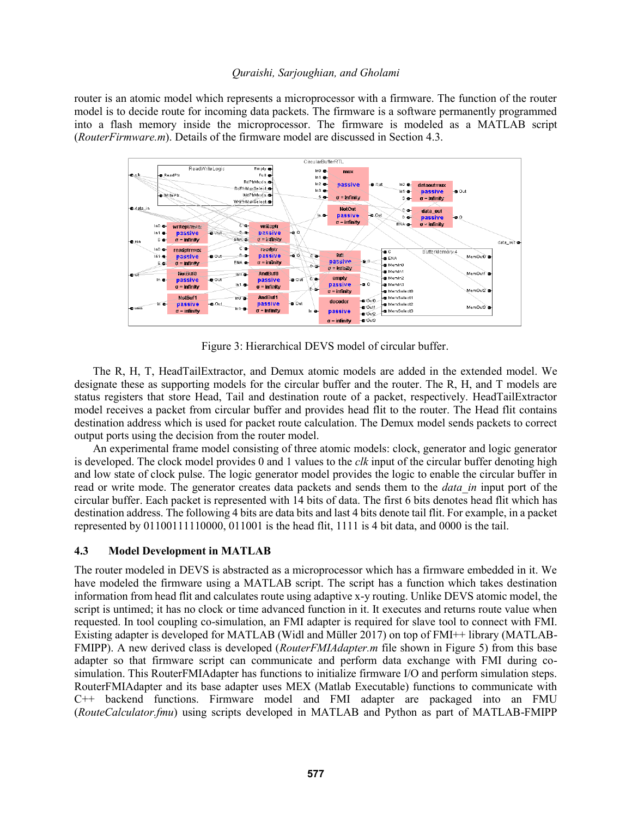router is an atomic model which represents a microprocessor with a firmware. The function of the router model is to decide route for incoming data packets. The firmware is a software permanently programmed into a flash memory inside the microprocessor. The firmware is modeled as a MATLAB script (*RouterFirmware.m*). Details of the firmware model are discussed in Section 4.3.



Figure 3: Hierarchical DEVS model of circular buffer.

The R, H, T, HeadTailExtractor, and Demux atomic models are added in the extended model. We designate these as supporting models for the circular buffer and the router. The R, H, and T models are status registers that store Head, Tail and destination route of a packet, respectively. HeadTailExtractor model receives a packet from circular buffer and provides head flit to the router. The Head flit contains destination address which is used for packet route calculation. The Demux model sends packets to correct output ports using the decision from the router model.

An experimental frame model consisting of three atomic models: clock, generator and logic generator is developed. The clock model provides 0 and 1 values to the *clk* input of the circular buffer denoting high and low state of clock pulse. The logic generator model provides the logic to enable the circular buffer in read or write mode. The generator creates data packets and sends them to the *data\_in* input port of the circular buffer. Each packet is represented with 14 bits of data. The first 6 bits denotes head flit which has destination address. The following 4 bits are data bits and last 4 bits denote tail flit. For example, in a packet represented by 01100111110000, 011001 is the head flit, 1111 is 4 bit data, and 0000 is the tail.

## **4.3 Model Development in MATLAB**

The router modeled in DEVS is abstracted as a microprocessor which has a firmware embedded in it. We have modeled the firmware using a MATLAB script. The script has a function which takes destination information from head flit and calculates route using adaptive x-y routing. Unlike DEVS atomic model, the script is untimed; it has no clock or time advanced function in it. It executes and returns route value when requested. In tool coupling co-simulation, an FMI adapter is required for slave tool to connect with FMI. Existing adapter is developed for MATLAB (Widl and Müller 2017) on top of FMI++ library (MATLAB-FMIPP). A new derived class is developed (*RouterFMIAdapter.m* file shown in Figure 5) from this base adapter so that firmware script can communicate and perform data exchange with FMI during cosimulation. This RouterFMIAdapter has functions to initialize firmware I/O and perform simulation steps. RouterFMIAdapter and its base adapter uses MEX (Matlab Executable) functions to communicate with C++ backend functions. Firmware model and FMI adapter are packaged into an FMU (*RouteCalculator.fmu*) using scripts developed in MATLAB and Python as part of MATLAB-FMIPP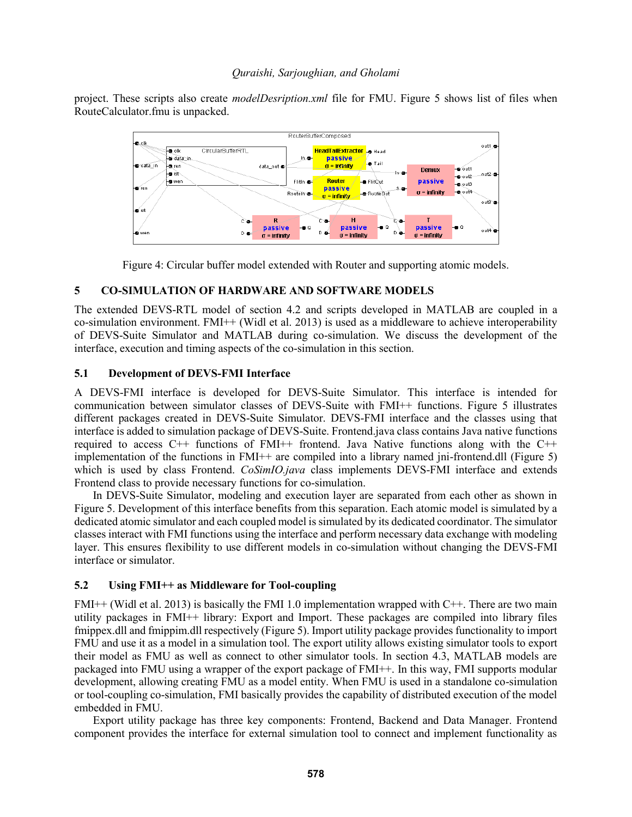project. These scripts also create *modelDesription.xml* file for FMU. Figure 5 shows list of files when RouteCalculator.fmu is unpacked.



Figure 4: Circular buffer model extended with Router and supporting atomic models.

## **5 CO-SIMULATION OF HARDWARE AND SOFTWARE MODELS**

The extended DEVS-RTL model of section 4.2 and scripts developed in MATLAB are coupled in a co-simulation environment. FMI++ (Widl et al. 2013) is used as a middleware to achieve interoperability of DEVS-Suite Simulator and MATLAB during co-simulation. We discuss the development of the interface, execution and timing aspects of the co-simulation in this section.

### **5.1 Development of DEVS-FMI Interface**

A DEVS-FMI interface is developed for DEVS-Suite Simulator. This interface is intended for communication between simulator classes of DEVS-Suite with FMI++ functions. Figure 5 illustrates different packages created in DEVS-Suite Simulator. DEVS-FMI interface and the classes using that interface is added to simulation package of DEVS-Suite. Frontend.java class contains Java native functions required to access  $C_{++}$  functions of  $FMI_{++}$  frontend. Java Native functions along with the  $C_{++}$ implementation of the functions in FMI++ are compiled into a library named jni-frontend.dll (Figure 5) which is used by class Frontend. *CoSimIO.java* class implements DEVS-FMI interface and extends Frontend class to provide necessary functions for co-simulation.

In DEVS-Suite Simulator, modeling and execution layer are separated from each other as shown in Figure 5. Development of this interface benefits from this separation. Each atomic model is simulated by a dedicated atomic simulator and each coupled model is simulated by its dedicated coordinator. The simulator classes interact with FMI functions using the interface and perform necessary data exchange with modeling layer. This ensures flexibility to use different models in co-simulation without changing the DEVS-FMI interface or simulator.

## **5.2 Using FMI++ as Middleware for Tool-coupling**

FMI++ (Widl et al. 2013) is basically the FMI 1.0 implementation wrapped with C++. There are two main utility packages in FMI++ library: Export and Import. These packages are compiled into library files fmippex.dll and fmippim.dll respectively (Figure 5). Import utility package provides functionality to import FMU and use it as a model in a simulation tool. The export utility allows existing simulator tools to export their model as FMU as well as connect to other simulator tools. In section 4.3, MATLAB models are packaged into FMU using a wrapper of the export package of FMI++. In this way, FMI supports modular development, allowing creating FMU as a model entity. When FMU is used in a standalone co-simulation or tool-coupling co-simulation, FMI basically provides the capability of distributed execution of the model embedded in FMU.

Export utility package has three key components: Frontend, Backend and Data Manager. Frontend component provides the interface for external simulation tool to connect and implement functionality as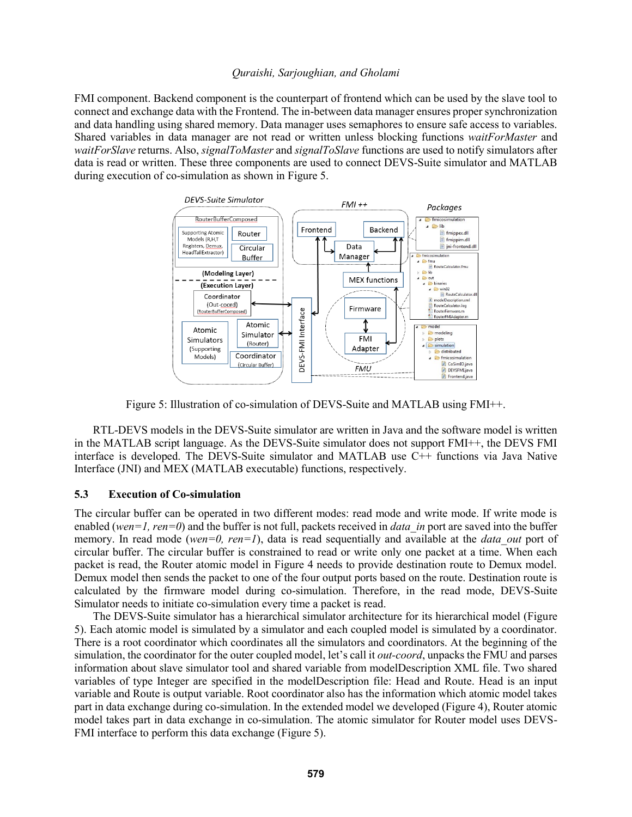FMI component. Backend component is the counterpart of frontend which can be used by the slave tool to connect and exchange data with the Frontend. The in-between data manager ensures proper synchronization and data handling using shared memory. Data manager uses semaphores to ensure safe access to variables. Shared variables in data manager are not read or written unless blocking functions *waitForMaster* and *waitForSlave* returns. Also, *signalToMaster* and *signalToSlave* functions are used to notify simulators after data is read or written. These three components are used to connect DEVS-Suite simulator and MATLAB during execution of co-simulation as shown in Figure 5.



Figure 5: Illustration of co-simulation of DEVS-Suite and MATLAB using FMI++.

RTL-DEVS models in the DEVS-Suite simulator are written in Java and the software model is written in the MATLAB script language. As the DEVS-Suite simulator does not support FMI++, the DEVS FMI interface is developed. The DEVS-Suite simulator and MATLAB use C++ functions via Java Native Interface (JNI) and MEX (MATLAB executable) functions, respectively.

#### **5.3 Execution of Co-simulation**

The circular buffer can be operated in two different modes: read mode and write mode. If write mode is enabled (*wen*=1, ren=0) and the buffer is not full, packets received in *data in* port are saved into the buffer memory. In read mode (*wen*=0, ren=1), data is read sequentially and available at the *data out* port of circular buffer. The circular buffer is constrained to read or write only one packet at a time. When each packet is read, the Router atomic model in Figure 4 needs to provide destination route to Demux model. Demux model then sends the packet to one of the four output ports based on the route. Destination route is calculated by the firmware model during co-simulation. Therefore, in the read mode, DEVS-Suite Simulator needs to initiate co-simulation every time a packet is read.

The DEVS-Suite simulator has a hierarchical simulator architecture for its hierarchical model (Figure 5). Each atomic model is simulated by a simulator and each coupled model is simulated by a coordinator. There is a root coordinator which coordinates all the simulators and coordinators. At the beginning of the simulation, the coordinator for the outer coupled model, let's call it *out-coord*, unpacks the FMU and parses information about slave simulator tool and shared variable from modelDescription XML file. Two shared variables of type Integer are specified in the modelDescription file: Head and Route. Head is an input variable and Route is output variable. Root coordinator also has the information which atomic model takes part in data exchange during co-simulation. In the extended model we developed (Figure 4), Router atomic model takes part in data exchange in co-simulation. The atomic simulator for Router model uses DEVS-FMI interface to perform this data exchange (Figure 5).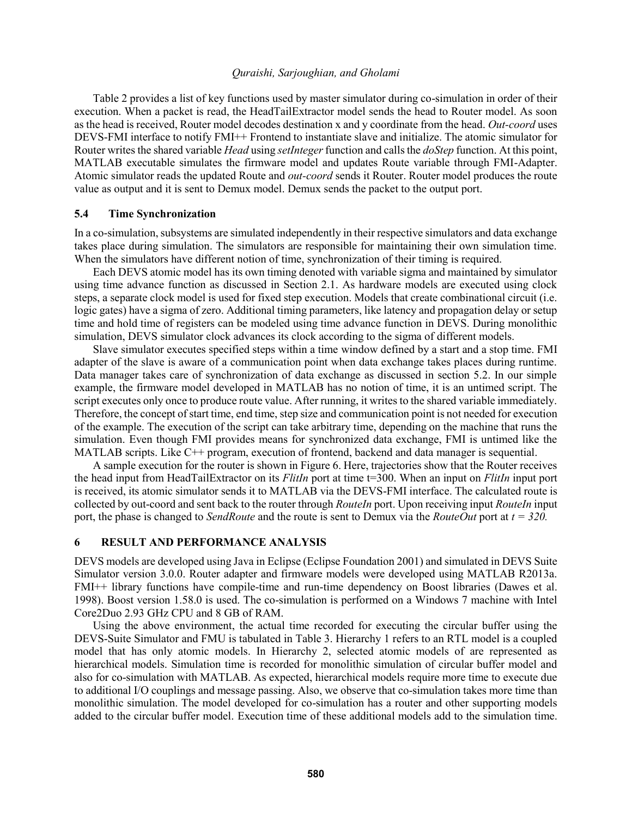Table 2 provides a list of key functions used by master simulator during co-simulation in order of their execution. When a packet is read, the HeadTailExtractor model sends the head to Router model. As soon as the head is received, Router model decodes destination x and y coordinate from the head. *Out-coord* uses DEVS-FMI interface to notify FMI++ Frontend to instantiate slave and initialize. The atomic simulator for Router writes the shared variable *Head* using *setInteger*function and calls the *doStep* function. At this point, MATLAB executable simulates the firmware model and updates Route variable through FMI-Adapter. Atomic simulator reads the updated Route and *out-coord* sends it Router. Router model produces the route value as output and it is sent to Demux model. Demux sends the packet to the output port.

#### **5.4 Time Synchronization**

In a co-simulation, subsystems are simulated independently in their respective simulators and data exchange takes place during simulation. The simulators are responsible for maintaining their own simulation time. When the simulators have different notion of time, synchronization of their timing is required.

Each DEVS atomic model has its own timing denoted with variable sigma and maintained by simulator using time advance function as discussed in Section 2.1. As hardware models are executed using clock steps, a separate clock model is used for fixed step execution. Models that create combinational circuit (i.e. logic gates) have a sigma of zero. Additional timing parameters, like latency and propagation delay or setup time and hold time of registers can be modeled using time advance function in DEVS. During monolithic simulation, DEVS simulator clock advances its clock according to the sigma of different models.

Slave simulator executes specified steps within a time window defined by a start and a stop time. FMI adapter of the slave is aware of a communication point when data exchange takes places during runtime. Data manager takes care of synchronization of data exchange as discussed in section 5.2. In our simple example, the firmware model developed in MATLAB has no notion of time, it is an untimed script. The script executes only once to produce route value. After running, it writes to the shared variable immediately. Therefore, the concept of start time, end time, step size and communication point is not needed for execution of the example. The execution of the script can take arbitrary time, depending on the machine that runs the simulation. Even though FMI provides means for synchronized data exchange, FMI is untimed like the MATLAB scripts. Like C++ program, execution of frontend, backend and data manager is sequential.

A sample execution for the router is shown in Figure 6. Here, trajectories show that the Router receives the head input from HeadTailExtractor on its *FlitIn* port at time t=300. When an input on *FlitIn* input port is received, its atomic simulator sends it to MATLAB via the DEVS-FMI interface. The calculated route is collected by out-coord and sent back to the router through *RouteIn* port. Upon receiving input *RouteIn* input port, the phase is changed to *SendRoute* and the route is sent to Demux via the *RouteOut* port at *t = 320.*

## **6 RESULT AND PERFORMANCE ANALYSIS**

DEVS models are developed using Java in Eclipse (Eclipse Foundation 2001) and simulated in DEVS Suite Simulator version 3.0.0. Router adapter and firmware models were developed using MATLAB R2013a. FMI++ library functions have compile-time and run-time dependency on Boost libraries (Dawes et al. 1998). Boost version 1.58.0 is used. The co-simulation is performed on a Windows 7 machine with Intel Core2Duo 2.93 GHz CPU and 8 GB of RAM.

Using the above environment, the actual time recorded for executing the circular buffer using the DEVS-Suite Simulator and FMU is tabulated in Table 3. Hierarchy 1 refers to an RTL model is a coupled model that has only atomic models. In Hierarchy 2, selected atomic models of are represented as hierarchical models. Simulation time is recorded for monolithic simulation of circular buffer model and also for co-simulation with MATLAB. As expected, hierarchical models require more time to execute due to additional I/O couplings and message passing. Also, we observe that co-simulation takes more time than monolithic simulation. The model developed for co-simulation has a router and other supporting models added to the circular buffer model. Execution time of these additional models add to the simulation time.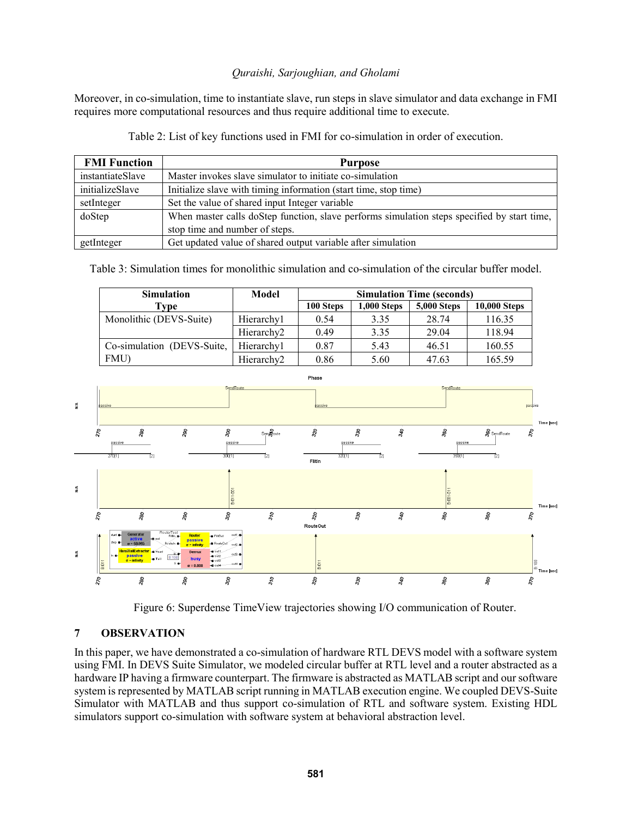Moreover, in co-simulation, time to instantiate slave, run steps in slave simulator and data exchange in FMI requires more computational resources and thus require additional time to execute.

| <b>FMI Function</b> | <b>Purpose</b>                                                                              |
|---------------------|---------------------------------------------------------------------------------------------|
| instantiateSlave    | Master invokes slave simulator to initiate co-simulation                                    |
| initializeSlave     | Initialize slave with timing information (start time, stop time)                            |
| setInteger          | Set the value of shared input Integer variable                                              |
| doStep              | When master calls doStep function, slave performs simulation steps specified by start time, |
|                     | stop time and number of steps.                                                              |
| getInteger          | Get updated value of shared output variable after simulation                                |

Table 2: List of key functions used in FMI for co-simulation in order of execution.

Table 3: Simulation times for monolithic simulation and co-simulation of the circular buffer model.

| <b>Simulation</b>          | Model                  | <b>Simulation Time (seconds)</b> |                    |                    |                     |
|----------------------------|------------------------|----------------------------------|--------------------|--------------------|---------------------|
| Type                       |                        | 100 Steps                        | <b>1,000 Steps</b> | <b>5,000 Steps</b> | <b>10,000 Steps</b> |
| Monolithic (DEVS-Suite)    | Hierarchy1             | 0.54                             | 3.35               | 28.74              | 116.35              |
|                            | Hierarchy <sub>2</sub> | 0.49                             | 3.35               | 29.04              | 118.94              |
| Co-simulation (DEVS-Suite, | Hierarchy1             | 0.87                             | 5.43               | 46.51              | 160.55              |
| FMU)                       | Hierarchy <sub>2</sub> | 0.86                             | 5.60               | 47.63              | 165.59              |



Figure 6: Superdense TimeView trajectories showing I/O communication of Router.

# **7 OBSERVATION**

In this paper, we have demonstrated a co-simulation of hardware RTL DEVS model with a software system using FMI. In DEVS Suite Simulator, we modeled circular buffer at RTL level and a router abstracted as a hardware IP having a firmware counterpart. The firmware is abstracted as MATLAB script and our software system is represented by MATLAB script running in MATLAB execution engine. We coupled DEVS-Suite Simulator with MATLAB and thus support co-simulation of RTL and software system. Existing HDL simulators support co-simulation with software system at behavioral abstraction level.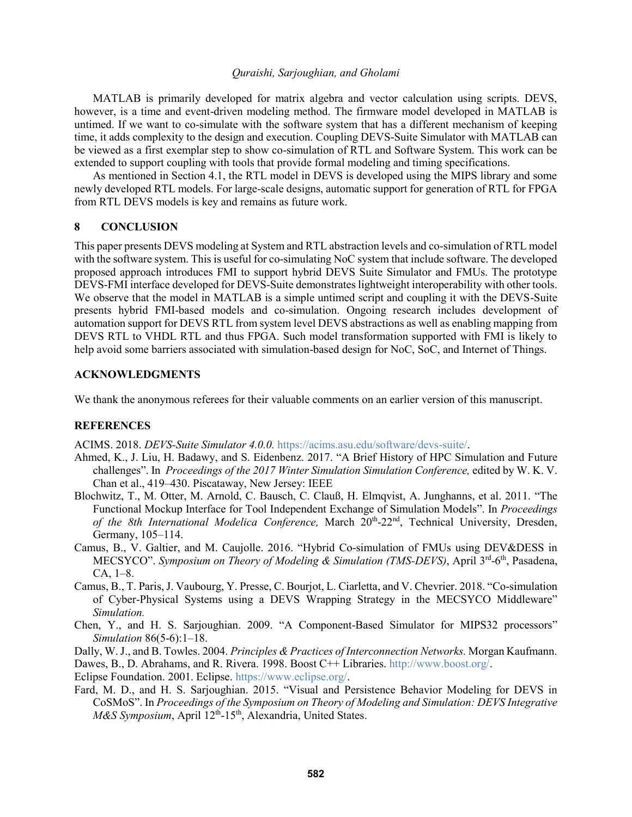MATLAB is primarily developed for matrix algebra and vector calculation using scripts. DEVS, however, is a time and event-driven modeling method. The firmware model developed in MATLAB is untimed. If we want to co-simulate with the software system that has a different mechanism of keeping time, it adds complexity to the design and execution. Coupling DEVS-Suite Simulator with MATLAB can be viewed as a first exemplar step to show co-simulation of RTL and Software System. This work can be extended to support coupling with tools that provide formal modeling and timing specifications.

As mentioned in Section 4.1, the RTL model in DEVS is developed using the MIPS library and some newly developed RTL models. For large-scale designs, automatic support for generation of RTL for FPGA from RTL DEVS models is key and remains as future work.

#### **8 CONCLUSION**

This paper presents DEVS modeling at System and RTL abstraction levels and co-simulation of RTL model with the software system. This is useful for co-simulating NoC system that include software. The developed proposed approach introduces FMI to support hybrid DEVS Suite Simulator and FMUs. The prototype DEVS-FMI interface developed for DEVS-Suite demonstrates lightweight interoperability with other tools. We observe that the model in MATLAB is a simple untimed script and coupling it with the DEVS-Suite presents hybrid FMI-based models and co-simulation. Ongoing research includes development of automation support for DEVS RTL from system level DEVS abstractions as well as enabling mapping from DEVS RTL to VHDL RTL and thus FPGA. Such model transformation supported with FMI is likely to help avoid some barriers associated with simulation-based design for NoC, SoC, and Internet of Things.

### **ACKNOWLEDGMENTS**

We thank the anonymous referees for their valuable comments on an earlier version of this manuscript.

## **REFERENCES**

ACIMS. 2018. *DEVS-Suite Simulator 4.0.0.* https://acims.asu.edu/software/devs-suite/.

- Ahmed, K., J. Liu, H. Badawy, and S. Eidenbenz. 2017. "A Brief History of HPC Simulation and Future challenges". In *Proceedings of the 2017 Winter Simulation Simulation Conference,* edited by W. K. V. Chan et al., 419–430. Piscataway, New Jersey: IEEE
- Blochwitz, T., M. Otter, M. Arnold, C. Bausch, C. Clauß, H. Elmqvist, A. Junghanns, et al. 2011. "The Functional Mockup Interface for Tool Independent Exchange of Simulation Models". In *Proceedings*  of the 8th International Modelica Conference, March 20<sup>th</sup>-22<sup>nd</sup>, Technical University, Dresden, Germany, 105–114.
- Camus, B., V. Galtier, and M. Caujolle. 2016. "Hybrid Co-simulation of FMUs using DEV&DESS in MECSYCO". Symposium on Theory of Modeling & Simulation (TMS-DEVS), April 3<sup>rd</sup>-6<sup>th</sup>, Pasadena, CA, 1–8.
- Camus, B., T. Paris, J. Vaubourg, Y. Presse, C. Bourjot, L. Ciarletta, and V. Chevrier. 2018. "Co-simulation of Cyber-Physical Systems using a DEVS Wrapping Strategy in the MECSYCO Middleware" *Simulation.*
- Chen, Y., and H. S. Sarjoughian. 2009. "A Component-Based Simulator for MIPS32 processors" *Simulation* 86(5-6):1–18.

Dally, W. J., and B. Towles. 2004. *Principles & Practices of Interconnection Networks.* Morgan Kaufmann. Dawes, B., D. Abrahams, and R. Rivera. 1998. Boost C++ Libraries. http://www.boost.org/.

- Eclipse Foundation. 2001. Eclipse. https://www.eclipse.org/.
- Fard, M. D., and H. S. Sarjoughian. 2015. "Visual and Persistence Behavior Modeling for DEVS in CoSMoS". In *Proceedings of the Symposium on Theory of Modeling and Simulation: DEVS Integrative*  M&S Symposium, April 12<sup>th</sup>-15<sup>th</sup>, Alexandria, United States.